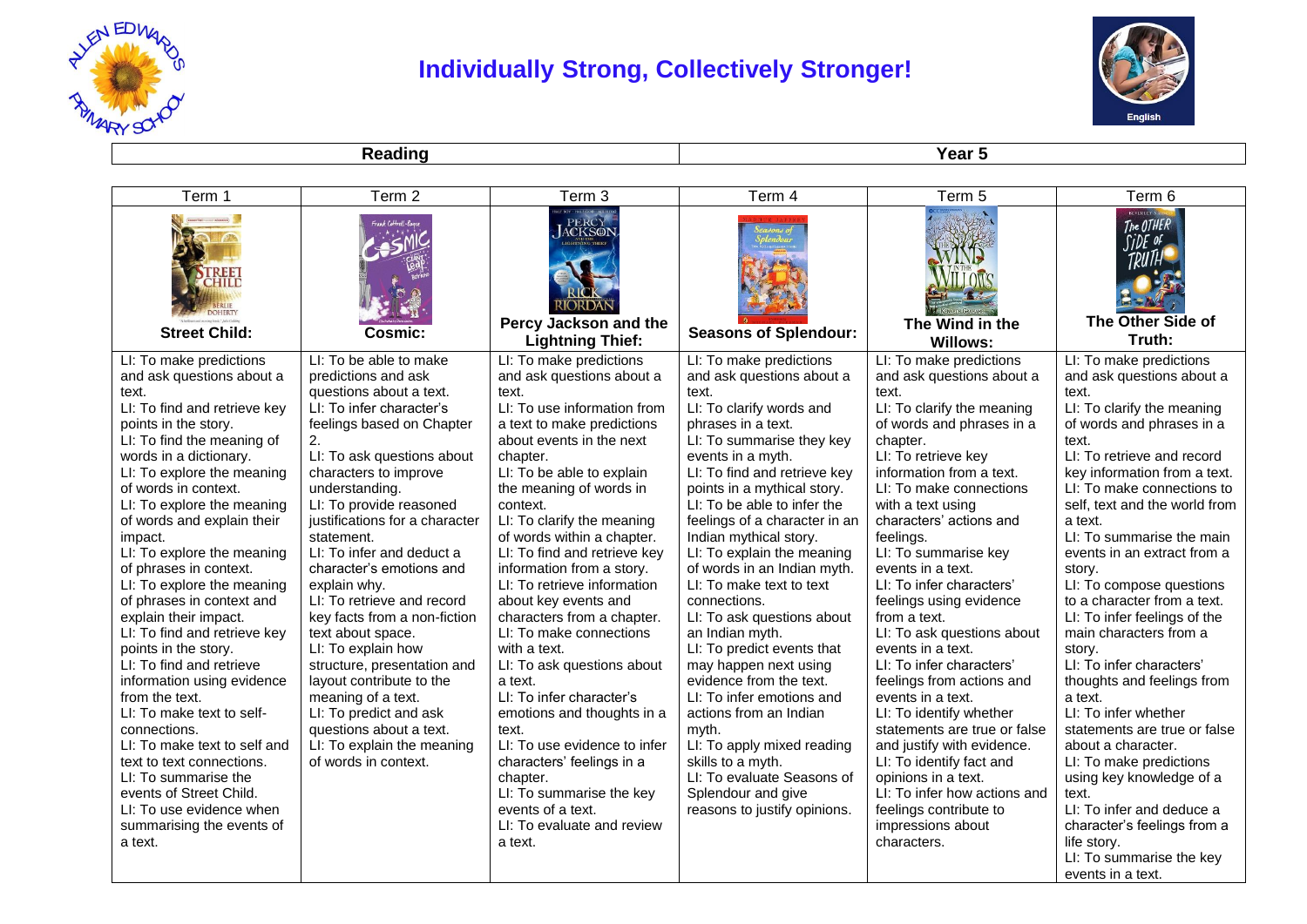

## **Individually Strong, Collectively Stronger!**



**Reading Year 5** 

| Term 1                                                  | Term 2                                     | Term <sub>3</sub>                                                              | Term 4                                           | Term 5                                              | Term 6                                                              |
|---------------------------------------------------------|--------------------------------------------|--------------------------------------------------------------------------------|--------------------------------------------------|-----------------------------------------------------|---------------------------------------------------------------------|
| CHILL<br><b>Street Child:</b>                           | Cosmic:                                    | PERCY<br>ACKSON<br>RIORDAN<br>Percy Jackson and the<br><b>Lightning Thief:</b> | <b>Seasons of Splendour:</b>                     | The Wind in the<br><b>Willows:</b>                  | The OTHER<br><b>SiDE</b> of<br>TRU11<br>The Other Side of<br>Truth: |
| LI: To make predictions                                 | LI: To be able to make                     | LI: To make predictions                                                        | LI: To make predictions                          | LI: To make predictions                             | LI: To make predictions                                             |
| and ask questions about a                               | predictions and ask                        | and ask questions about a                                                      | and ask questions about a                        | and ask questions about a                           | and ask questions about a                                           |
| text.                                                   | questions about a text.                    | text.                                                                          | text.                                            | text.                                               | text.                                                               |
| LI: To find and retrieve key                            | LI: To infer character's                   | LI: To use information from                                                    | LI: To clarify words and<br>phrases in a text.   | LI: To clarify the meaning                          | LI: To clarify the meaning                                          |
| points in the story.<br>LI: To find the meaning of      | feelings based on Chapter<br>2.            | a text to make predictions<br>about events in the next                         | LI: To summarise they key                        | of words and phrases in a<br>chapter.               | of words and phrases in a<br>text.                                  |
| words in a dictionary.                                  | LI: To ask questions about                 | chapter.                                                                       | events in a myth.                                | LI: To retrieve key                                 | LI: To retrieve and record                                          |
| LI: To explore the meaning                              | characters to improve                      | LI: To be able to explain                                                      | LI: To find and retrieve key                     | information from a text.                            | key information from a text.                                        |
| of words in context.                                    | understanding.                             | the meaning of words in                                                        | points in a mythical story.                      | LI: To make connections                             | LI: To make connections to                                          |
| LI: To explore the meaning                              | LI: To provide reasoned                    | context.                                                                       | LI: To be able to infer the                      | with a text using                                   | self, text and the world from                                       |
| of words and explain their                              | justifications for a character             | LI: To clarify the meaning                                                     | feelings of a character in an                    | characters' actions and                             | a text.                                                             |
| impact.                                                 | statement.                                 | of words within a chapter.                                                     | Indian mythical story.                           | feelings.                                           | LI: To summarise the main                                           |
| LI: To explore the meaning                              | LI: To infer and deduct a                  | LI: To find and retrieve key                                                   | LI: To explain the meaning                       | LI: To summarise key                                | events in an extract from a                                         |
| of phrases in context.                                  | character's emotions and                   | information from a story.                                                      | of words in an Indian myth.                      | events in a text.                                   | story.                                                              |
| LI: To explore the meaning<br>of phrases in context and | explain why.<br>LI: To retrieve and record | LI: To retrieve information<br>about key events and                            | LI: To make text to text<br>connections.         | LI: To infer characters'<br>feelings using evidence | LI: To compose questions<br>to a character from a text.             |
| explain their impact.                                   | key facts from a non-fiction               | characters from a chapter.                                                     | LI: To ask questions about                       | from a text.                                        | LI: To infer feelings of the                                        |
| LI: To find and retrieve key                            | text about space.                          | LI: To make connections                                                        | an Indian myth.                                  | LI: To ask questions about                          | main characters from a                                              |
| points in the story.                                    | LI: To explain how                         | with a text.                                                                   | LI: To predict events that                       | events in a text.                                   | story.                                                              |
| LI: To find and retrieve                                | structure, presentation and                | LI: To ask questions about                                                     | may happen next using                            | LI: To infer characters'                            | LI: To infer characters'                                            |
| information using evidence                              | layout contribute to the                   | a text.                                                                        | evidence from the text.                          | feelings from actions and                           | thoughts and feelings from                                          |
| from the text.                                          | meaning of a text.                         | LI: To infer character's                                                       | LI: To infer emotions and                        | events in a text.                                   | a text.                                                             |
| LI: To make text to self-                               | LI: To predict and ask                     | emotions and thoughts in a                                                     | actions from an Indian                           | LI: To identify whether                             | LI: To infer whether                                                |
| connections.                                            | questions about a text.                    | text.                                                                          | mvth.                                            | statements are true or false                        | statements are true or false                                        |
| LI: To make text to self and                            | LI: To explain the meaning                 | LI: To use evidence to infer                                                   | LI: To apply mixed reading                       | and justify with evidence.                          | about a character.                                                  |
| text to text connections.                               | of words in context.                       | characters' feelings in a                                                      | skills to a myth.                                | LI: To identify fact and                            | LI: To make predictions                                             |
| LI: To summarise the<br>events of Street Child.         |                                            | chapter.<br>LI: To summarise the key                                           | LI: To evaluate Seasons of<br>Splendour and give | opinions in a text.<br>LI: To infer how actions and | using key knowledge of a<br>text.                                   |
| LI: To use evidence when                                |                                            | events of a text.                                                              | reasons to justify opinions.                     | feelings contribute to                              | LI: To infer and deduce a                                           |
| summarising the events of                               |                                            | LI: To evaluate and review                                                     |                                                  | impressions about                                   | character's feelings from a                                         |
| a text.                                                 |                                            | a text.                                                                        |                                                  | characters.                                         | life story.                                                         |
|                                                         |                                            |                                                                                |                                                  |                                                     | LI: To summarise the key                                            |
|                                                         |                                            |                                                                                |                                                  |                                                     | events in a text.                                                   |